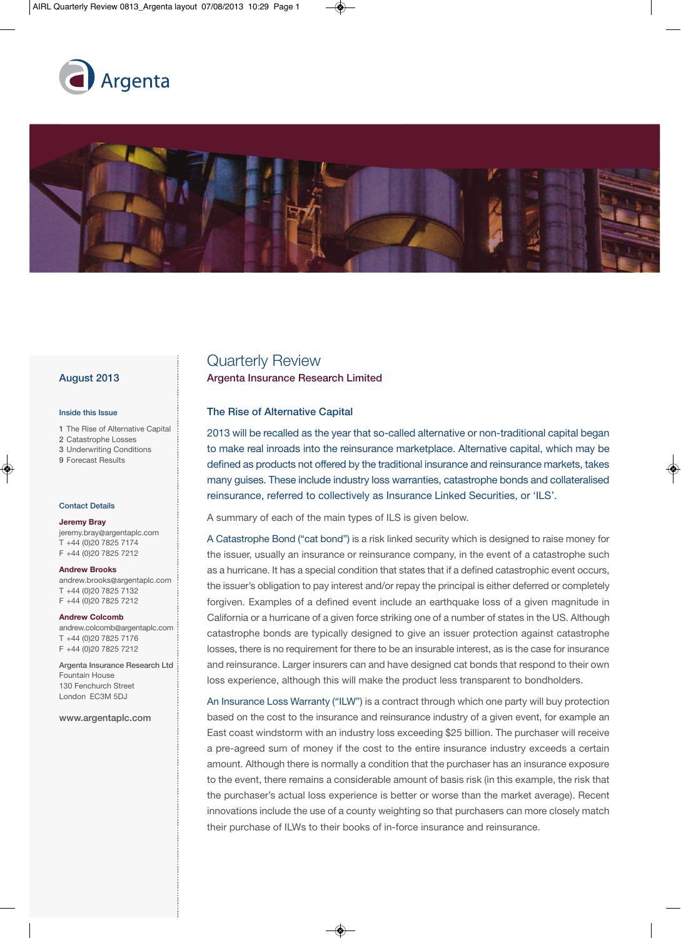



# **August 2013**

#### **Inside this Issue**

- **1** The Rise of Alternative Capital
- **2** Catastrophe Losses
- **3** Underwriting Conditions
- **9** Forecast Results

#### **Contact Details**

#### **Jeremy Bray**

jeremy.bray@argentaplc.com T +44 (0)20 7825 7174 F +44 (0)20 7825 7212

#### **Andrew Brooks**

andrew.brooks@argentaplc.com T +44 (0)20 7825 7132 F +44 (0)20 7825 7212

#### **Andrew Colcomb**

andrew.colcomb@argentaplc.com T +44 (0)20 7825 7176 F +44 (0)20 7825 7212

**Argenta Insurance Research Ltd** Fountain House 130 Fenchurch Street London EC3M 5DJ

#### **www.argentaplc.com**

# Quarterly Review

**Argenta Insurance Research Limited**

# **The Rise of Alternative Capital**

2013 will be recalled as the year that so-called alternative or non-traditional capital began to make real inroads into the reinsurance marketplace. Alternative capital, which may be defined as products not offered by the traditional insurance and reinsurance markets, takes many guises. These include industry loss warranties, catastrophe bonds and collateralised reinsurance, referred to collectively as Insurance Linked Securities, or 'ILS'.

A summary of each of the main types of ILS is given below.

A Catastrophe Bond ("cat bond") is a risk linked security which is designed to raise money for the issuer, usually an insurance or reinsurance company, in the event of a catastrophe such as a hurricane. It has a special condition that states that if a defined catastrophic event occurs, the issuer's obligation to pay interest and/or repay the principal is either deferred or completely forgiven. Examples of a defined event include an earthquake loss of a given magnitude in California or a hurricane of a given force striking one of a number of states in the US. Although catastrophe bonds are typically designed to give an issuer protection against catastrophe losses, there is no requirement for there to be an insurable interest, as is the case for insurance and reinsurance. Larger insurers can and have designed cat bonds that respond to their own loss experience, although this will make the product less transparent to bondholders.

An Insurance Loss Warranty ("ILW") is a contract through which one party will buy protection based on the cost to the insurance and reinsurance industry of a given event, for example an East coast windstorm with an industry loss exceeding \$25 billion. The purchaser will receive a pre-agreed sum of money if the cost to the entire insurance industry exceeds a certain amount. Although there is normally a condition that the purchaser has an insurance exposure to the event, there remains a considerable amount of basis risk (in this example, the risk that the purchaser's actual loss experience is better or worse than the market average). Recent innovations include the use of a county weighting so that purchasers can more closely match their purchase of ILWs to their books of in-force insurance and reinsurance.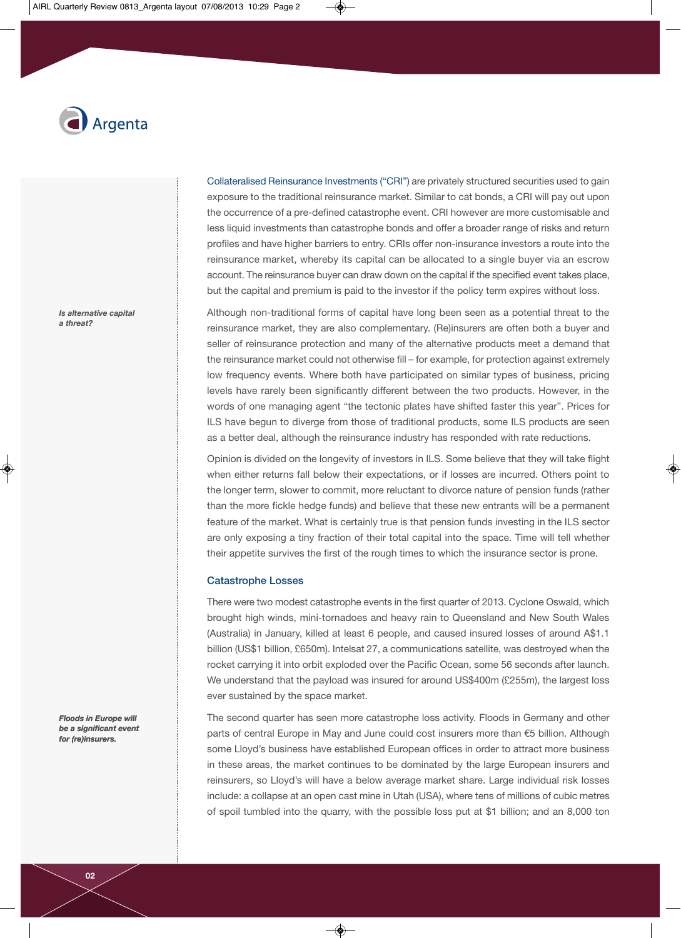

*Is alternative capital a threat?*

Collateralised Reinsurance Investments ("CRI") are privately structured securities used to gain exposure to the traditional reinsurance market. Similar to cat bonds, a CRI will pay out upon the occurrence of a pre-defined catastrophe event. CRI however are more customisable and less liquid investments than catastrophe bonds and offer a broader range of risks and return profiles and have higher barriers to entry. CRIs offer non-insurance investors a route into the reinsurance market, whereby its capital can be allocated to a single buyer via an escrow account. The reinsurance buyer can draw down on the capital if the specified event takes place, but the capital and premium is paid to the investor if the policy term expires without loss.

Although non-traditional forms of capital have long been seen as a potential threat to the reinsurance market, they are also complementary. (Re)insurers are often both a buyer and seller of reinsurance protection and many of the alternative products meet a demand that the reinsurance market could not otherwise fill – for example, for protection against extremely low frequency events. Where both have participated on similar types of business, pricing levels have rarely been significantly different between the two products. However, in the words of one managing agent "the tectonic plates have shifted faster this year". Prices for ILS have begun to diverge from those of traditional products, some ILS products are seen as a better deal, although the reinsurance industry has responded with rate reductions.

Opinion is divided on the longevity of investors in ILS. Some believe that they will take flight when either returns fall below their expectations, or if losses are incurred. Others point to the longer term, slower to commit, more reluctant to divorce nature of pension funds (rather than the more fickle hedge funds) and believe that these new entrants will be a permanent feature of the market. What is certainly true is that pension funds investing in the ILS sector are only exposing a tiny fraction of their total capital into the space. Time will tell whether their appetite survives the first of the rough times to which the insurance sector is prone.

#### **Catastrophe Losses**

There were two modest catastrophe events in the first quarter of 2013. Cyclone Oswald, which brought high winds, mini-tornadoes and heavy rain to Queensland and New South Wales (Australia) in January, killed at least 6 people, and caused insured losses of around A\$1.1 billion (US\$1 billion, £650m). Intelsat 27, a communications satellite, was destroyed when the rocket carrying it into orbit exploded over the Pacific Ocean, some 56 seconds after launch. We understand that the payload was insured for around US\$400m (£255m), the largest loss ever sustained by the space market.

The second quarter has seen more catastrophe loss activity. Floods in Germany and other parts of central Europe in May and June could cost insurers more than €5 billion. Although some Lloyd's business have established European offices in order to attract more business in these areas, the market continues to be dominated by the large European insurers and reinsurers, so Lloyd's will have a below average market share. Large individual risk losses include: a collapse at an open cast mine in Utah (USA), where tens of millions of cubic metres of spoil tumbled into the quarry, with the possible loss put at \$1 billion; and an 8,000 ton

*Floods in Europe will be a significant event for (re)insurers.*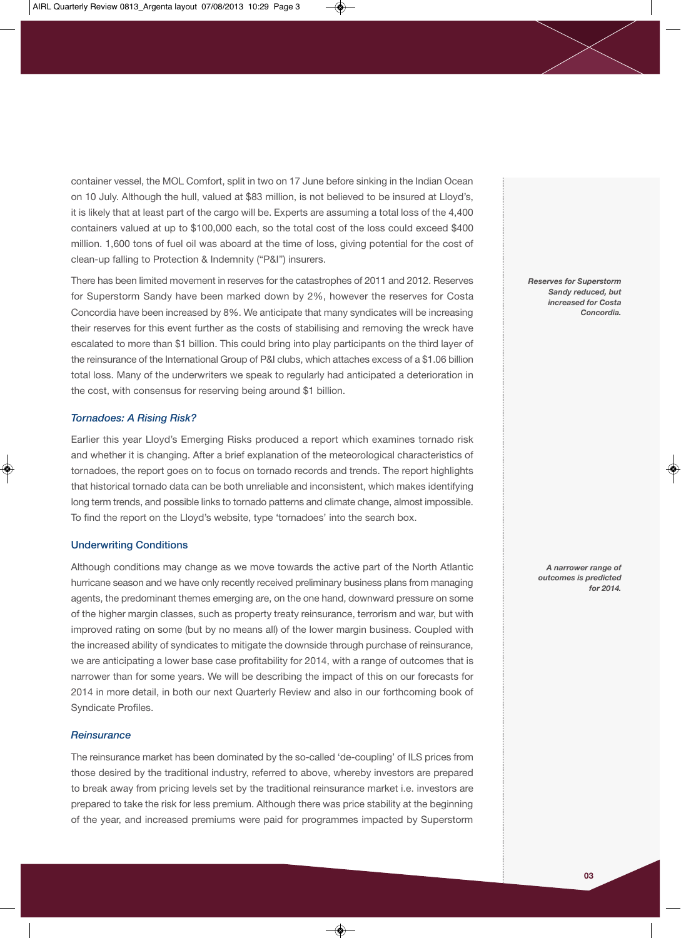container vessel, the MOL Comfort, split in two on 17 June before sinking in the Indian Ocean on 10 July. Although the hull, valued at \$83 million, is not believed to be insured at Lloyd's, it is likely that at least part of the cargo will be. Experts are assuming a total loss of the 4,400 containers valued at up to \$100,000 each, so the total cost of the loss could exceed \$400 million. 1,600 tons of fuel oil was aboard at the time of loss, giving potential for the cost of clean-up falling to Protection & Indemnity ("P&I") insurers.

There has been limited movement in reserves for the catastrophes of 2011 and 2012. Reserves for Superstorm Sandy have been marked down by 2%, however the reserves for Costa Concordia have been increased by 8%. We anticipate that many syndicates will be increasing their reserves for this event further as the costs of stabilising and removing the wreck have escalated to more than \$1 billion. This could bring into play participants on the third layer of the reinsurance of the International Group of P&I clubs, which attaches excess of a \$1.06 billion total loss. Many of the underwriters we speak to regularly had anticipated a deterioration in the cost, with consensus for reserving being around \$1 billion.

# *Tornadoes: A Rising Risk?*

Earlier this year Lloyd's Emerging Risks produced a report which examines tornado risk and whether it is changing. After a brief explanation of the meteorological characteristics of tornadoes, the report goes on to focus on tornado records and trends. The report highlights that historical tornado data can be both unreliable and inconsistent, which makes identifying long term trends, and possible links to tornado patterns and climate change, almost impossible. To find the report on the Lloyd's website, type 'tornadoes' into the search box.

# **Underwriting Conditions**

Although conditions may change as we move towards the active part of the North Atlantic hurricane season and we have only recently received preliminary business plans from managing agents, the predominant themes emerging are, on the one hand, downward pressure on some of the higher margin classes, such as property treaty reinsurance, terrorism and war, but with improved rating on some (but by no means all) of the lower margin business. Coupled with the increased ability of syndicates to mitigate the downside through purchase of reinsurance, we are anticipating a lower base case profitability for 2014, with a range of outcomes that is narrower than for some years. We will be describing the impact of this on our forecasts for 2014 in more detail, in both our next Quarterly Review and also in our forthcoming book of Syndicate Profiles.

#### *Reinsurance*

The reinsurance market has been dominated by the so-called 'de-coupling' of ILS prices from those desired by the traditional industry, referred to above, whereby investors are prepared to break away from pricing levels set by the traditional reinsurance market i.e. investors are prepared to take the risk for less premium. Although there was price stability at the beginning of the year, and increased premiums were paid for programmes impacted by Superstorm

*Reserves for Superstorm Sandy reduced, but increased for Costa Concordia.*

> *A narrower range of outcomes is predicted for 2014.*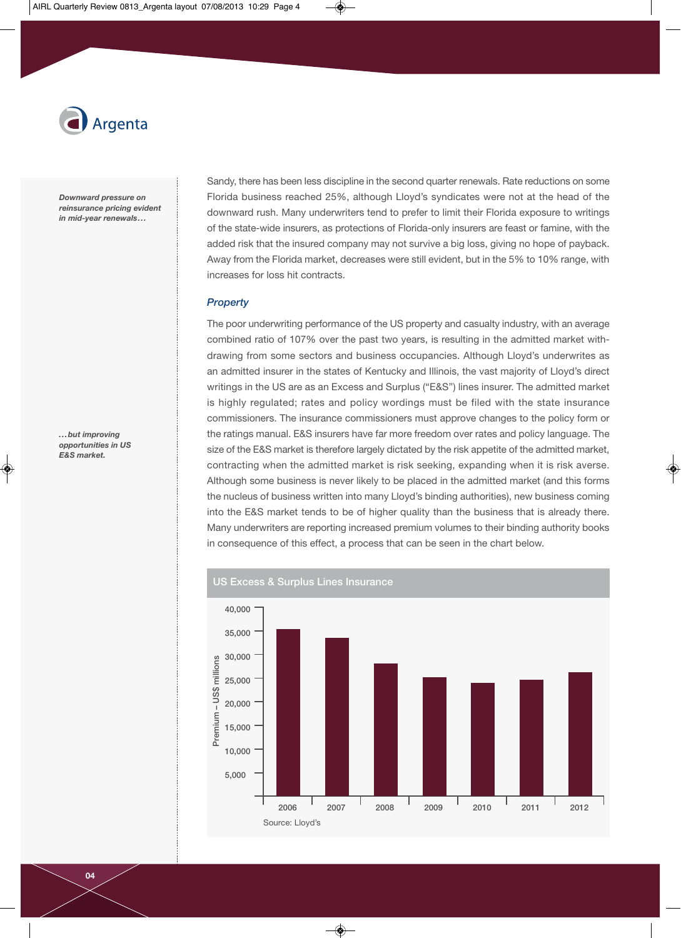

*Downward pressure on reinsurance pricing evident in mid-year renewals...*

*...but improving opportunities in US E&S market.*

Sandy, there has been less discipline in the second quarter renewals. Rate reductions on some Florida business reached 25%, although Lloyd's syndicates were not at the head of the downward rush. Many underwriters tend to prefer to limit their Florida exposure to writings of the state-wide insurers, as protections of Florida-only insurers are feast or famine, with the added risk that the insured company may not survive a big loss, giving no hope of payback. Away from the Florida market, decreases were still evident, but in the 5% to 10% range, with increases for loss hit contracts.

# *Property*

The poor underwriting performance of the US property and casualty industry, with an average combined ratio of 107% over the past two years, is resulting in the admitted market withdrawing from some sectors and business occupancies. Although Lloyd's underwrites as an admitted insurer in the states of Kentucky and Illinois, the vast majority of Lloyd's direct writings in the US are as an Excess and Surplus ("E&S") lines insurer. The admitted market is highly regulated; rates and policy wordings must be filed with the state insurance commissioners. The insurance commissioners must approve changes to the policy form or the ratings manual. E&S insurers have far more freedom over rates and policy language. The size of the E&S market is therefore largely dictated by the risk appetite of the admitted market, contracting when the admitted market is risk seeking, expanding when it is risk averse. Although some business is never likely to be placed in the admitted market (and this forms the nucleus of business written into many Lloyd's binding authorities), new business coming into the E&S market tends to be of higher quality than the business that is already there. Many underwriters are reporting increased premium volumes to their binding authority books in consequence of this effect, a process that can be seen in the chart below.

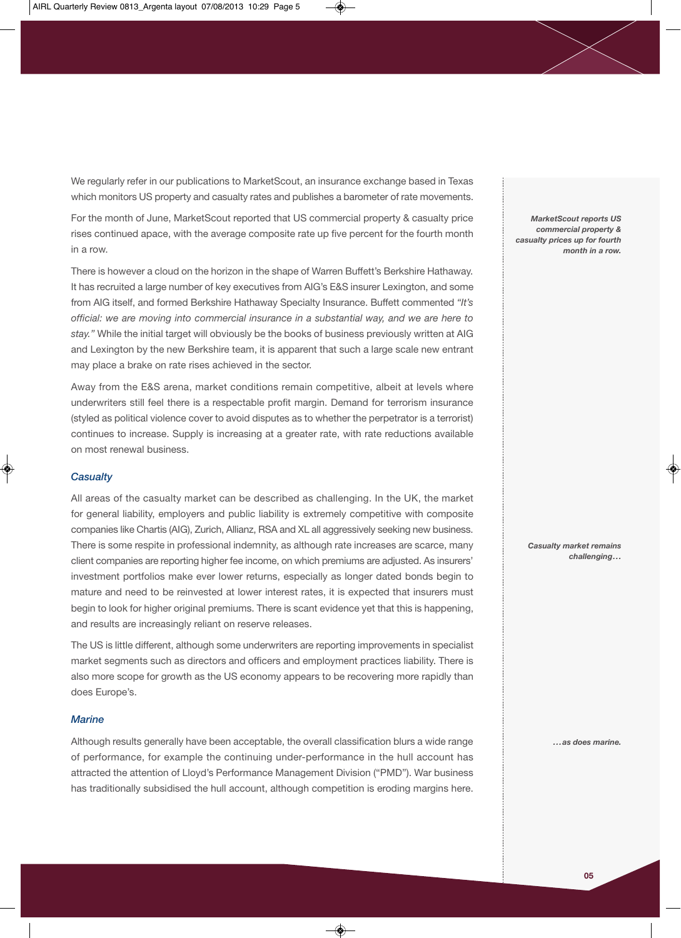We regularly refer in our publications to MarketScout, an insurance exchange based in Texas which monitors US property and casualty rates and publishes a barometer of rate movements.

For the month of June, MarketScout reported that US commercial property & casualty price rises continued apace, with the average composite rate up five percent for the fourth month in a row.

There is however a cloud on the horizon in the shape of Warren Buffett's Berkshire Hathaway. It has recruited a large number of key executives from AIG's E&S insurer Lexington, and some from AIG itself, and formed Berkshire Hathaway Specialty Insurance. Buffett commented *"It's official: we are moving into commercial insurance in a substantial way, and we are here to stay."* While the initial target will obviously be the books of business previously written at AIG and Lexington by the new Berkshire team, it is apparent that such a large scale new entrant may place a brake on rate rises achieved in the sector.

Away from the E&S arena, market conditions remain competitive, albeit at levels where underwriters still feel there is a respectable profit margin. Demand for terrorism insurance (styled as political violence cover to avoid disputes as to whether the perpetrator is a terrorist) continues to increase. Supply is increasing at a greater rate, with rate reductions available on most renewal business.

#### *Casualty*

All areas of the casualty market can be described as challenging. In the UK, the market for general liability, employers and public liability is extremely competitive with composite companies like Chartis (AIG), Zurich, Allianz, RSA and XL all aggressively seeking new business. There is some respite in professional indemnity, as although rate increases are scarce, many client companies are reporting higher fee income, on which premiums are adjusted. As insurers' investment portfolios make ever lower returns, especially as longer dated bonds begin to mature and need to be reinvested at lower interest rates, it is expected that insurers must begin to look for higher original premiums. There is scant evidence yet that this is happening, and results are increasingly reliant on reserve releases.

The US is little different, although some underwriters are reporting improvements in specialist market segments such as directors and officers and employment practices liability. There is also more scope for growth as the US economy appears to be recovering more rapidly than does Europe's.

## *Marine*

Although results generally have been acceptable, the overall classification blurs a wide range of performance, for example the continuing under-performance in the hull account has attracted the attention of Lloyd's Performance Management Division ("PMD"). War business has traditionally subsidised the hull account, although competition is eroding margins here.

*MarketScout reports US commercial property & casualty prices up for fourth month in a row.*

> *Casualty market remains challenging...*

> > *...as does marine.*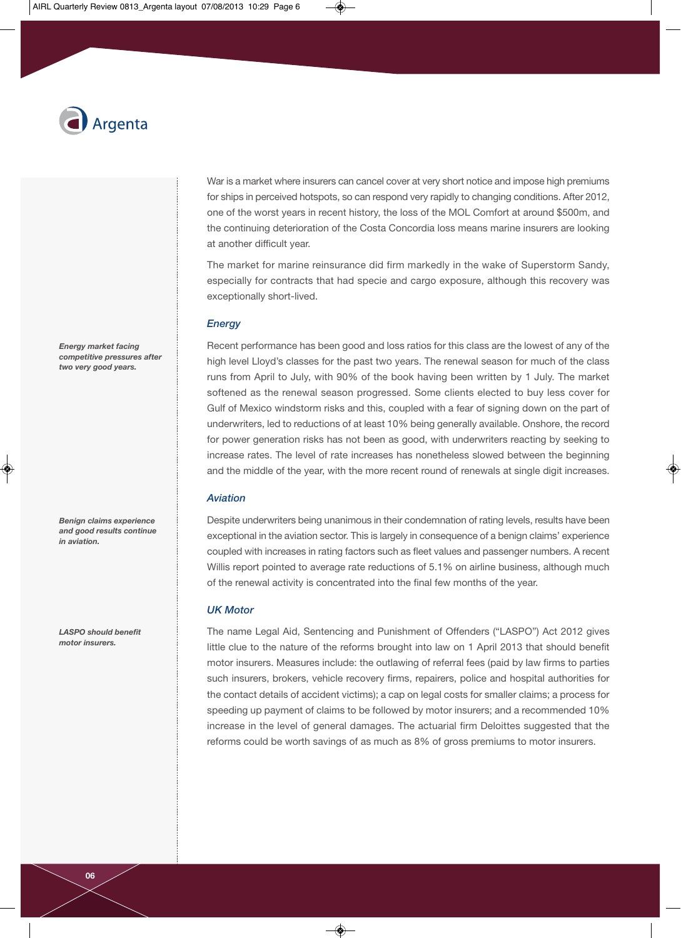

War is a market where insurers can cancel cover at very short notice and impose high premiums for ships in perceived hotspots, so can respond very rapidly to changing conditions. After 2012, one of the worst years in recent history, the loss of the MOL Comfort at around \$500m, and the continuing deterioration of the Costa Concordia loss means marine insurers are looking at another difficult year.

The market for marine reinsurance did firm markedly in the wake of Superstorm Sandy, especially for contracts that had specie and cargo exposure, although this recovery was exceptionally short-lived.

# *Energy*

Recent performance has been good and loss ratios for this class are the lowest of any of the high level Lloyd's classes for the past two years. The renewal season for much of the class runs from April to July, with 90% of the book having been written by 1 July. The market softened as the renewal season progressed. Some clients elected to buy less cover for Gulf of Mexico windstorm risks and this, coupled with a fear of signing down on the part of underwriters, led to reductions of at least 10% being generally available. Onshore, the record for power generation risks has not been as good, with underwriters reacting by seeking to increase rates. The level of rate increases has nonetheless slowed between the beginning and the middle of the year, with the more recent round of renewals at single digit increases.

## *Aviation*

Despite underwriters being unanimous in their condemnation of rating levels, results have been exceptional in the aviation sector. This is largely in consequence of a benign claims' experience coupled with increases in rating factors such as fleet values and passenger numbers. A recent Willis report pointed to average rate reductions of 5.1% on airline business, although much of the renewal activity is concentrated into the final few months of the year.

## *UK Motor*

The name Legal Aid, Sentencing and Punishment of Offenders ("LASPO") Act 2012 gives little clue to the nature of the reforms brought into law on 1 April 2013 that should benefit motor insurers. Measures include: the outlawing of referral fees (paid by law firms to parties such insurers, brokers, vehicle recovery firms, repairers, police and hospital authorities for the contact details of accident victims); a cap on legal costs for smaller claims; a process for speeding up payment of claims to be followed by motor insurers; and a recommended 10% increase in the level of general damages. The actuarial firm Deloittes suggested that the reforms could be worth savings of as much as 8% of gross premiums to motor insurers.

*Energy market facing competitive pressures after two very good years.*

*Benign claims experience and good results continue in aviation.*

*LASPO should benefit motor insurers.*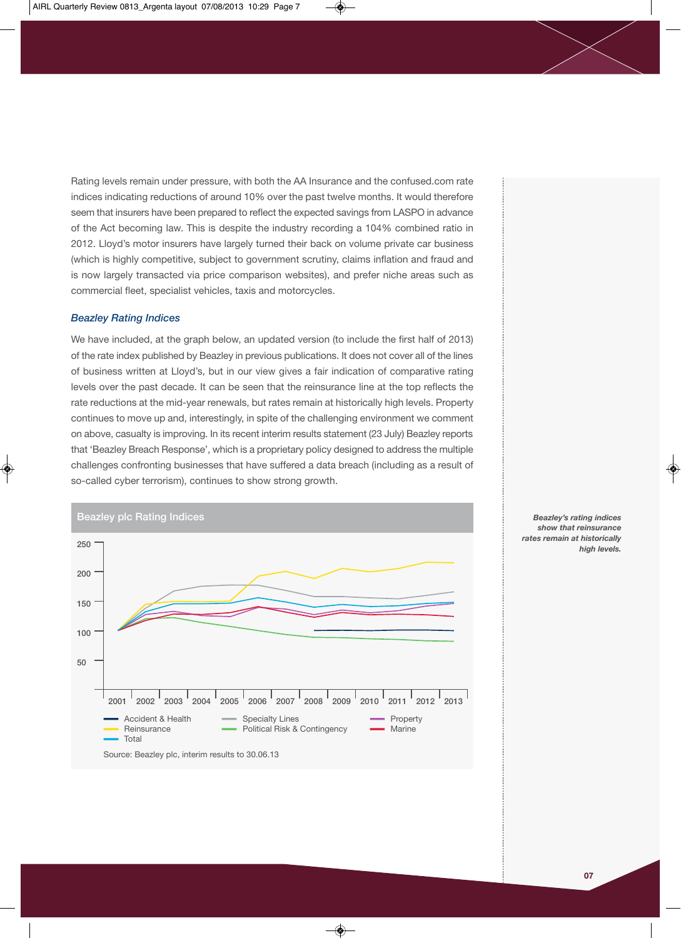Rating levels remain under pressure, with both the AA Insurance and the confused.com rate indices indicating reductions of around 10% over the past twelve months. It would therefore seem that insurers have been prepared to reflect the expected savings from LASPO in advance of the Act becoming law. This is despite the industry recording a 104% combined ratio in 2012. Lloyd's motor insurers have largely turned their back on volume private car business (which is highly competitive, subject to government scrutiny, claims inflation and fraud and is now largely transacted via price comparison websites), and prefer niche areas such as commercial fleet, specialist vehicles, taxis and motorcycles.

#### *Beazley Rating Indices*

We have included, at the graph below, an updated version (to include the first half of 2013) of the rate index published by Beazley in previous publications. It does not cover all of the lines of business written at Lloyd's, but in our view gives a fair indication of comparative rating levels over the past decade. It can be seen that the reinsurance line at the top reflects the rate reductions at the mid-year renewals, but rates remain at historically high levels. Property continues to move up and, interestingly, in spite of the challenging environment we comment on above, casualty is improving. In its recent interim results statement (23 July) Beazley reports that 'Beazley Breach Response', which is a proprietary policy designed to address the multiple challenges confronting businesses that have suffered a data breach (including as a result of so-called cyber terrorism), continues to show strong growth.



*Beazley's rating indices show that reinsurance rates remain at historically high levels.*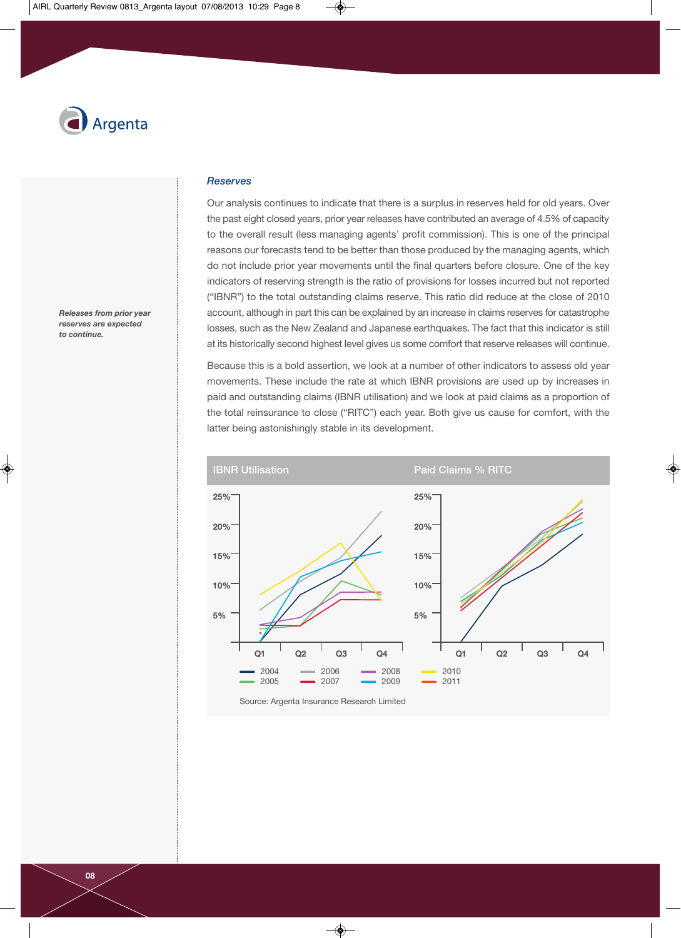

*Releases from prior year reserves are expected to continue.*

## *Reserves*

Our analysis continues to indicate that there is a surplus in reserves held for old years. Over the past eight closed years, prior year releases have contributed an average of 4.5% of capacity to the overall result (less managing agents' profit commission). This is one of the principal reasons our forecasts tend to be better than those produced by the managing agents, which do not include prior year movements until the final quarters before closure. One of the key indicators of reserving strength is the ratio of provisions for losses incurred but not reported ("IBNR") to the total outstanding claims reserve. This ratio did reduce at the close of 2010 account, although in part this can be explained by an increase in claims reserves for catastrophe losses, such as the New Zealand and Japanese earthquakes. The fact that this indicator is still at its historically second highest level gives us some comfort that reserve releases will continue.

Because this is a bold assertion, we look at a number of other indicators to assess old year movements. These include the rate at which IBNR provisions are used up by increases in paid and outstanding claims (IBNR utilisation) and we look at paid claims as a proportion of the total reinsurance to close ("RITC") each year. Both give us cause for comfort, with the latter being astonishingly stable in its development.



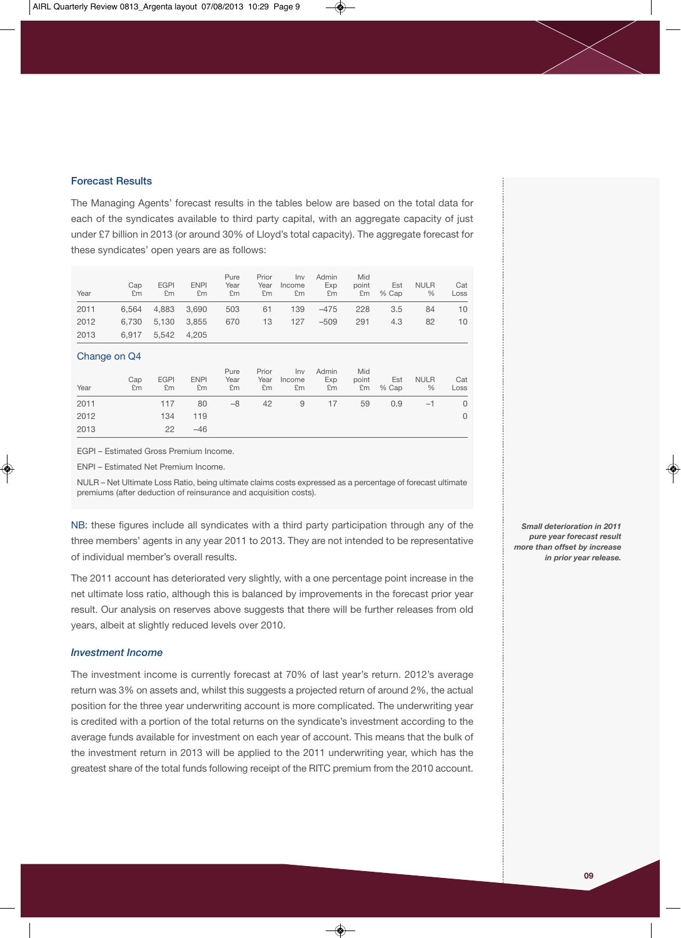## **Forecast Results**

The Managing Agents' forecast results in the tables below are based on the total data for each of the syndicates available to third party capital, with an aggregate capacity of just under £7 billion in 2013 (or around 30% of Lloyd's total capacity). The aggregate forecast for these syndicates' open years are as follows:

| Year | Cap<br>£m | <b>EGPI</b><br>£m | <b>ENPI</b><br>£m | Pure<br>Year<br>£m | Prior<br>Year<br>£m | Inv<br>Income<br>£m | Admin<br>Exp<br>£m | Mid<br>point<br>£m | Est<br>% Cap | <b>NULR</b><br>$\frac{0}{6}$ | Cat<br>Loss |
|------|-----------|-------------------|-------------------|--------------------|---------------------|---------------------|--------------------|--------------------|--------------|------------------------------|-------------|
| 2011 | 6.564     | 4.883             | 3.690             | 503                | 61                  | 139                 | $-475$             | 228                | 3.5          | 84                           | 10          |
| 2012 | 6.730     | 5.130             | 3.855             | 670                | 13                  | 127                 | $-509$             | 291                | 4.3          | 82                           | 10          |
| 2013 | 6.917     | 5.542             | 4.205             |                    |                     |                     |                    |                    |              |                              |             |

## Change on Q4

| Year | Cap<br>£m | <b>EGPI</b><br>£m | <b>ENPI</b><br>Em | Pure<br>Year<br>£m | Prior<br>Year<br>£m | Inv<br>Income<br>£m | Admin<br>Exp<br>£m | Mid<br>point | Est<br>$Em \% Cap$ | <b>NULR</b><br>$\%$ | Cat<br>Loss |
|------|-----------|-------------------|-------------------|--------------------|---------------------|---------------------|--------------------|--------------|--------------------|---------------------|-------------|
| 2011 |           | 117               | 80                | $-8$               | 42                  | 9                   | 17                 | 59           | 0.9                | $-1$                | 0           |
| 2012 |           | 134               | 119               |                    |                     |                     |                    |              |                    |                     | $\Omega$    |
| 2013 |           | 22                | $-46$             |                    |                     |                     |                    |              |                    |                     |             |

EGPI – Estimated Gross Premium Income.

ENPI – Estimated Net Premium Income.

NULR – Net Ultimate Loss Ratio, being ultimate claims costs expressed as a percentage of forecast ultimate premiums (after deduction of reinsurance and acquisition costs).

NB: these figures include all syndicates with a third party participation through any of the three members' agents in any year 2011 to 2013. They are not intended to be representative of individual member's overall results.

The 2011 account has deteriorated very slightly, with a one percentage point increase in the net ultimate loss ratio, although this is balanced by improvements in the forecast prior year result. Our analysis on reserves above suggests that there will be further releases from old years, albeit at slightly reduced levels over 2010.

# *Investment Income*

The investment income is currently forecast at 70% of last year's return. 2012's average return was 3% on assets and, whilst this suggests a projected return of around 2%, the actual position for the three year underwriting account is more complicated. The underwriting year is credited with a portion of the total returns on the syndicate's investment according to the average funds available for investment on each year of account. This means that the bulk of the investment return in 2013 will be applied to the 2011 underwriting year, which has the greatest share of the total funds following receipt of the RITC premium from the 2010 account.

*Small deterioration in 2011 pure year forecast result more than offset by increase in prior year release.*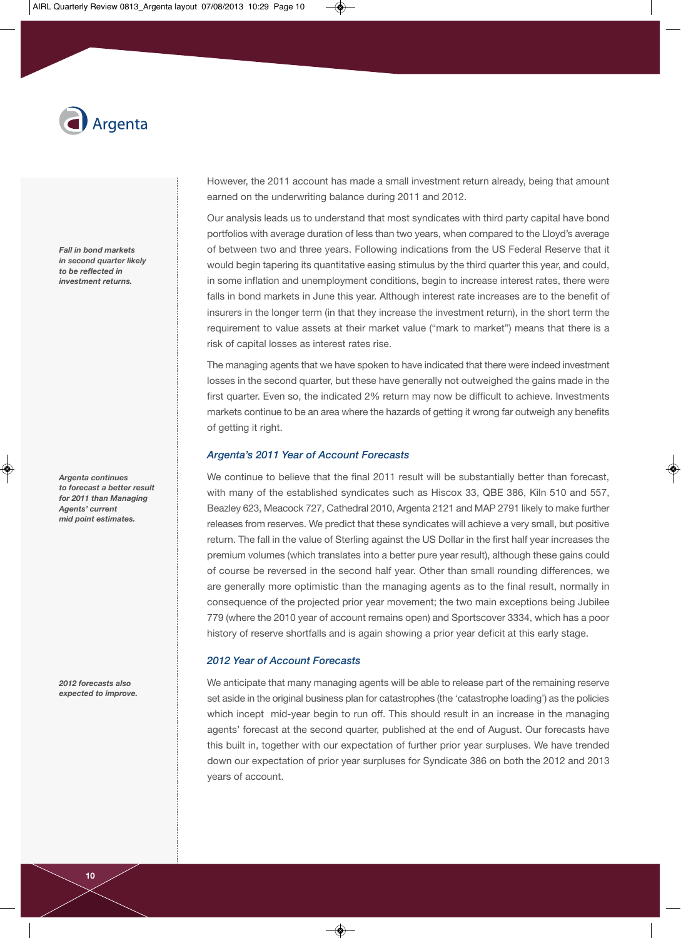

*Fall in bond markets in second quarter likely to be reflected in investment returns.*

*Argenta continues to forecast a better result for 2011 than Managing Agents' current mid point estimates.*

*2012 forecasts also expected to improve.* However, the 2011 account has made a small investment return already, being that amount earned on the underwriting balance during 2011 and 2012.

Our analysis leads us to understand that most syndicates with third party capital have bond portfolios with average duration of less than two years, when compared to the Lloyd's average of between two and three years. Following indications from the US Federal Reserve that it would begin tapering its quantitative easing stimulus by the third quarter this year, and could, in some inflation and unemployment conditions, begin to increase interest rates, there were falls in bond markets in June this year. Although interest rate increases are to the benefit of insurers in the longer term (in that they increase the investment return), in the short term the requirement to value assets at their market value ("mark to market") means that there is a risk of capital losses as interest rates rise.

The managing agents that we have spoken to have indicated that there were indeed investment losses in the second quarter, but these have generally not outweighed the gains made in the first quarter. Even so, the indicated 2% return may now be difficult to achieve. Investments markets continue to be an area where the hazards of getting it wrong far outweigh any benefits of getting it right.

## *Argenta's 2011 Year of Account Forecasts*

We continue to believe that the final 2011 result will be substantially better than forecast, with many of the established syndicates such as Hiscox 33, QBE 386, Kiln 510 and 557, Beazley 623, Meacock 727, Cathedral 2010, Argenta 2121 and MAP 2791 likely to make further releases from reserves. We predict that these syndicates will achieve a very small, but positive return. The fall in the value of Sterling against the US Dollar in the first half year increases the premium volumes (which translates into a better pure year result), although these gains could of course be reversed in the second half year. Other than small rounding differences, we are generally more optimistic than the managing agents as to the final result, normally in consequence of the projected prior year movement; the two main exceptions being Jubilee 779 (where the 2010 year of account remains open) and Sportscover 3334, which has a poor history of reserve shortfalls and is again showing a prior year deficit at this early stage.

## *2012 Year of Account Forecasts*

We anticipate that many managing agents will be able to release part of the remaining reserve set aside in the original business plan for catastrophes (the 'catastrophe loading') as the policies which incept mid-year begin to run off. This should result in an increase in the managing agents' forecast at the second quarter, published at the end of August. Our forecasts have this built in, together with our expectation of further prior year surpluses. We have trended down our expectation of prior year surpluses for Syndicate 386 on both the 2012 and 2013 years of account.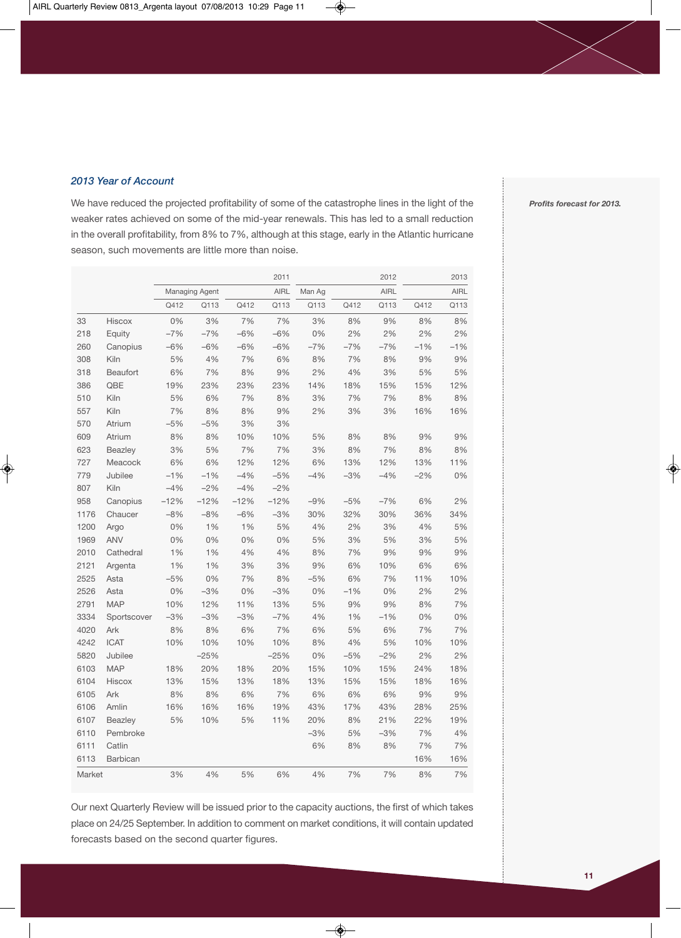*2013 Year of Account*

We have reduced the projected profitability of some of the catastrophe lines in the light of the weaker rates achieved on some of the mid-year renewals. This has led to a small reduction in the overall profitability, from 8% to 7%, although at this stage, early in the Atlantic hurricane season, such movements are little more than noise.

|        |                 |        |                |        | 2011        |        |       | 2012        |       | 2013        |
|--------|-----------------|--------|----------------|--------|-------------|--------|-------|-------------|-------|-------------|
|        |                 |        | Managing Agent |        | <b>AIRL</b> | Man Ag |       | <b>AIRL</b> |       | <b>AIRL</b> |
|        |                 | Q412   | Q113           | Q412   | Q113        | Q113   | Q412  | Q113        | Q412  | Q113        |
| 33     | <b>Hiscox</b>   | 0%     | 3%             | 7%     | 7%          | 3%     | 8%    | 9%          | 8%    | 8%          |
| 218    | Equity          | $-7%$  | $-7%$          | $-6%$  | $-6%$       | 0%     | 2%    | 2%          | 2%    | 2%          |
| 260    | Canopius        | $-6%$  | $-6%$          | $-6%$  | $-6%$       | $-7%$  | $-7%$ | $-7%$       | $-1%$ | $-1%$       |
| 308    | <b>Kiln</b>     | 5%     | 4%             | 7%     | 6%          | 8%     | 7%    | 8%          | 9%    | 9%          |
| 318    | Beaufort        | 6%     | 7%             | 8%     | 9%          | 2%     | 4%    | 3%          | 5%    | 5%          |
| 386    | QBE             | 19%    | 23%            | 23%    | 23%         | 14%    | 18%   | 15%         | 15%   | 12%         |
| 510    | Kiln            | 5%     | 6%             | 7%     | 8%          | 3%     | 7%    | 7%          | 8%    | 8%          |
| 557    | Kiln            | 7%     | 8%             | 8%     | 9%          | 2%     | 3%    | 3%          | 16%   | 16%         |
| 570    | Atrium          | $-5%$  | $-5%$          | 3%     | 3%          |        |       |             |       |             |
| 609    | Atrium          | 8%     | 8%             | 10%    | 10%         | 5%     | 8%    | 8%          | 9%    | 9%          |
| 623    | <b>Beazley</b>  | 3%     | 5%             | 7%     | 7%          | 3%     | 8%    | 7%          | 8%    | 8%          |
| 727    | Meacock         | 6%     | 6%             | 12%    | 12%         | 6%     | 13%   | 12%         | 13%   | 11%         |
| 779    | Jubilee         | $-1%$  | $-1%$          | $-4%$  | $-5%$       | $-4%$  | $-3%$ | $-4%$       | $-2%$ | 0%          |
| 807    | Kiln            | $-4%$  | $-2%$          | $-4%$  | $-2%$       |        |       |             |       |             |
| 958    | Canopius        | $-12%$ | $-12%$         | $-12%$ | $-12%$      | $-9%$  | $-5%$ | $-7%$       | 6%    | 2%          |
| 1176   | Chaucer         | $-8%$  | $-8%$          | $-6%$  | $-3%$       | 30%    | 32%   | 30%         | 36%   | 34%         |
| 1200   | Argo            | 0%     | 1%             | 1%     | 5%          | 4%     | 2%    | 3%          | 4%    | 5%          |
| 1969   | <b>ANV</b>      | 0%     | 0%             | 0%     | $0\%$       | 5%     | 3%    | 5%          | 3%    | 5%          |
| 2010   | Cathedral       | 1%     | 1%             | 4%     | 4%          | 8%     | 7%    | 9%          | 9%    | 9%          |
| 2121   | Argenta         | 1%     | 1%             | 3%     | 3%          | 9%     | 6%    | 10%         | 6%    | 6%          |
| 2525   | Asta            | $-5%$  | 0%             | 7%     | 8%          | $-5%$  | 6%    | 7%          | 11%   | 10%         |
| 2526   | Asta            | 0%     | $-3%$          | 0%     | $-3%$       | 0%     | $-1%$ | 0%          | 2%    | 2%          |
| 2791   | <b>MAP</b>      | 10%    | 12%            | 11%    | 13%         | 5%     | 9%    | 9%          | 8%    | 7%          |
| 3334   | Sportscover     | $-3%$  | $-3%$          | $-3%$  | $-7%$       | 4%     | 1%    | $-1%$       | 0%    | 0%          |
| 4020   | Ark             | 8%     | 8%             | 6%     | 7%          | 6%     | 5%    | 6%          | 7%    | 7%          |
| 4242   | <b>ICAT</b>     | 10%    | 10%            | 10%    | 10%         | 8%     | 4%    | 5%          | 10%   | 10%         |
| 5820   | Jubilee         |        | $-25%$         |        | $-25%$      | 0%     | $-5%$ | $-2%$       | 2%    | 2%          |
| 6103   | <b>MAP</b>      | 18%    | 20%            | 18%    | 20%         | 15%    | 10%   | 15%         | 24%   | 18%         |
| 6104   | <b>Hiscox</b>   | 13%    | 15%            | 13%    | 18%         | 13%    | 15%   | 15%         | 18%   | 16%         |
| 6105   | Ark             | 8%     | 8%             | 6%     | 7%          | 6%     | 6%    | 6%          | 9%    | 9%          |
| 6106   | Amlin           | 16%    | 16%            | 16%    | 19%         | 43%    | 17%   | 43%         | 28%   | 25%         |
| 6107   | <b>Beazley</b>  | 5%     | 10%            | 5%     | 11%         | 20%    | 8%    | 21%         | 22%   | 19%         |
| 6110   | Pembroke        |        |                |        |             | $-3%$  | 5%    | $-3%$       | 7%    | 4%          |
| 6111   | Catlin          |        |                |        |             | 6%     | 8%    | 8%          | 7%    | 7%          |
| 6113   | <b>Barbican</b> |        |                |        |             |        |       |             | 16%   | 16%         |
| Market |                 | 3%     | 4%             | 5%     | 6%          | 4%     | 7%    | 7%          | 8%    | 7%          |

Our next Quarterly Review will be issued prior to the capacity auctions, the first of which takes place on 24/25 September. In addition to comment on market conditions, it will contain updated forecasts based on the second quarter figures.

*Profits forecast for 2013.*